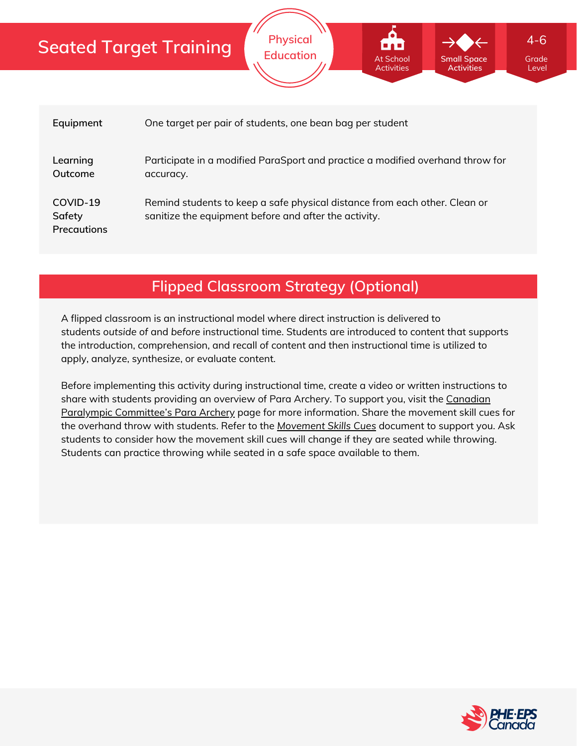| Equipment                                | One target per pair of students, one bean bag per student                                                                           |
|------------------------------------------|-------------------------------------------------------------------------------------------------------------------------------------|
| Learning<br>Outcome                      | Participate in a modified ParaSport and practice a modified overhand throw for<br>accuracy.                                         |
| COVID-19<br>Safety<br><b>Precautions</b> | Remind students to keep a safe physical distance from each other. Clean or<br>sanitize the equipment before and after the activity. |

**Physical**

**Education Contract At School Grade** Grade

At School **Activities**  **Small Space Activities**

Level

4-6

**Flipped Classroom Strategy (Optional)**

A flipped classroom is an instructional model where direct instruction is delivered to students *outside of* and *before* instructional time. Students are introduced to content that supports the introduction, comprehension, and recall of content and then instructional time is utilized to apply, analyze, synthesize, or evaluate content.

Before implementing this activity during instructional time, create a video or written instructions to share with students providing an overview of Para Archery. To support you, visit the Canadian Paralympic [Committee's](https://paralympic.ca/paralympic-sports/para-archery) Para Archery page for more information. Share the movement skill cues for the overhand throw with students. Refer to the *[Movement](https://phecanada.ca/sites/default/files/content/docs/Home%20Learning%20Resource/Movement%20Cues/Movement%20Skills%20Cues%201.pdf) Skills Cues* document to support you. Ask students to consider how the movement skill cues will change if they are seated while throwing. Students can practice throwing while seated in a safe space available to them.

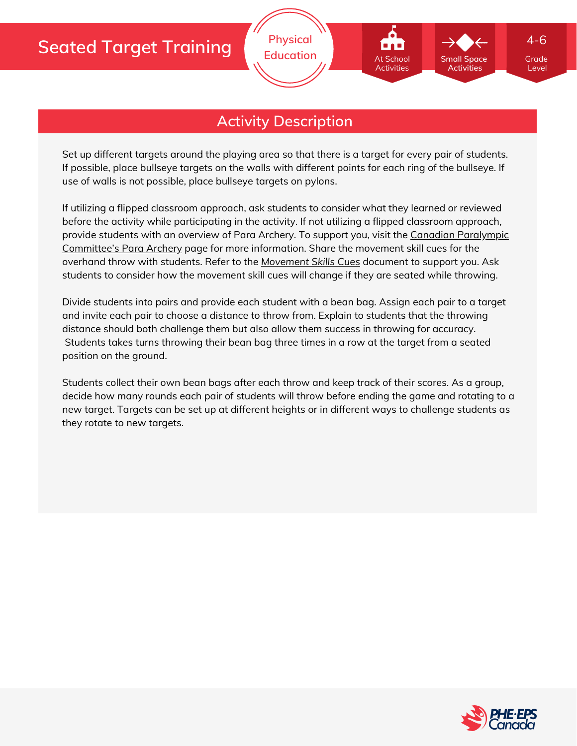

## **Activity Description**

Set up different targets around the playing area so that there is a target for every pair of students. If possible, place bullseye targets on the walls with different points for each ring of the bullseye. If use of walls is not possible, place bullseye targets on pylons.

If utilizing a flipped classroom approach, ask students to consider what they learned or reviewed before the activity while participating in the activity. If not utilizing a flipped classroom approach, provide students with an overview of Para Archery. To support you, visit the Canadian Paralympic [Committee's](https://paralympic.ca/paralympic-sports/para-archery) Para Archery page for more information. Share the movement skill cues for the overhand throw with students. Refer to the *[Movement](https://phecanada.ca/sites/default/files/content/docs/Home%20Learning%20Resource/Movement%20Cues/Movement%20Skills%20Cues%201.pdf) Skills Cues* document to support you. Ask students to consider how the movement skill cues will change if they are seated while throwing.

Divide students into pairs and provide each student with a bean bag. Assign each pair to a target and invite each pair to choose a distance to throw from. Explain to students that the throwing distance should both challenge them but also allow them success in throwing for accuracy. Students takes turns throwing their bean bag three times in a row at the target from a seated position on the ground.

Students collect their own bean bags after each throw and keep track of their scores. As a group, decide how many rounds each pair of students will throw before ending the game and rotating to a new target. Targets can be set up at different heights or in different ways to challenge students as they rotate to new targets.



Level

4-6

**Small Space Activities**

At School Activities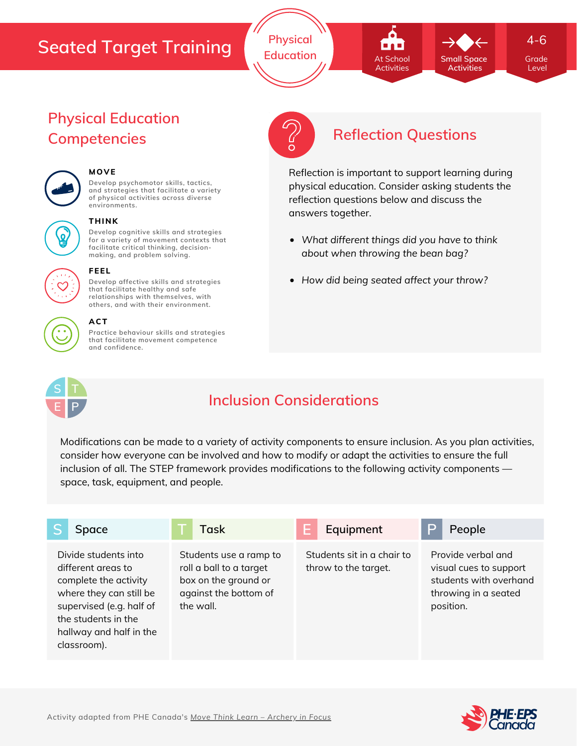**Physical Education Grade At School Grade** Small Space Grade

At School Activities

Level

4-6

**Small Space Activities**

Reflection is important to support learning during physical education. Consider asking students the reflection questions below and discuss the answers together.

- *What different things did you have to think about when throwing the bean bag?*
- *How did being seated affect your throw?*

## **Physical Education Competencies Reflection Questions**



# **MOVE**

**Develop psychomotor skills, tactics, and strategies that facilitate a variety of physical activities across diverse environments.**



#### **THINK**

**Develop cognitive skills and strategies for a variety of movement contexts that facilitate critical thinking, decision making, and problem solving.**

**Develop affective skills and strategies that facilitate healthy and safe relationships with themselves, with**



#### **others, and with their environment. ACT**

**FEEL**

**Practice behaviour skills and strategies that facilitate movement competence and confidence.**



## **Inclusion Considerations**

Modifications can be made to a variety of activity components to ensure inclusion. As you plan activities, consider how everyone can be involved and how to modify or adapt the activities to ensure the full inclusion of all. The STEP framework provides modifications to the following activity components space, task, equipment, and people.